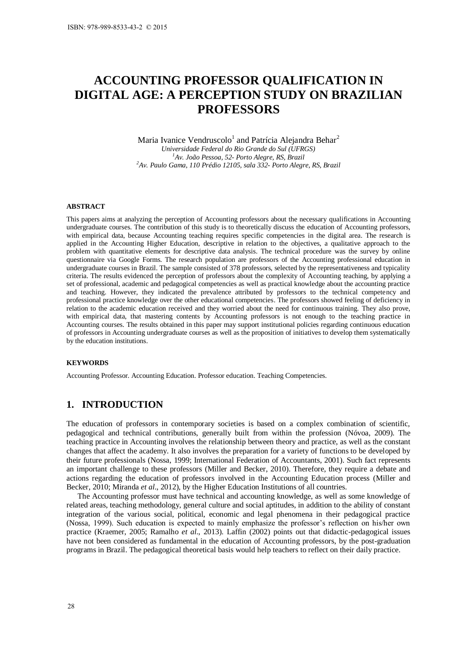# **ACCOUNTING PROFESSOR QUALIFICATION IN DIGITAL AGE: A PERCEPTION STUDY ON BRAZILIAN PROFESSORS**

Maria Ivanice Vendruscolo<sup>1</sup> and Patrícia Alejandra Behar<sup>2</sup> *Universidade Federal do Rio Grande do Sul (UFRGS) <sup>1</sup>Av. João Pessoa, 52- Porto Alegre, RS, Brazil <sup>2</sup>Av. Paulo Gama, 110 Prédio 12105, sala 332- Porto Alegre, RS, Brazil* 

#### **ABSTRACT**

This papers aims at analyzing the perception of Accounting professors about the necessary qualifications in Accounting undergraduate courses. The contribution of this study is to theoretically discuss the education of Accounting professors, with empirical data, because Accounting teaching requires specific competencies in the digital area. The research is applied in the Accounting Higher Education, descriptive in relation to the objectives, a qualitative approach to the problem with quantitative elements for descriptive data analysis. The technical procedure was the survey by online questionnaire via Google Forms. The research population are professors of the Accounting professional education in undergraduate courses in Brazil. The sample consisted of 378 professors, selected by the representativeness and typicality criteria. The results evidenced the perception of professors about the complexity of Accounting teaching, by applying a set of professional, academic and pedagogical competencies as well as practical knowledge about the accounting practice and teaching. However, they indicated the prevalence attributed by professors to the technical competency and professional practice knowledge over the other educational competencies. The professors showed feeling of deficiency in relation to the academic education received and they worried about the need for continuous training. They also prove, with empirical data, that mastering contents by Accounting professors is not enough to the teaching practice in Accounting courses. The results obtained in this paper may support institutional policies regarding continuous education of professors in Accounting undergraduate courses as well as the proposition of initiatives to develop them systematically by the education institutions. ISBN: 978-989-8533-43-2 © 2015<br>
ISBN: 978-989-8533-43-2 © 2015<br>  $\Delta \text{CCOUNTIN}}$ <br>  $\text{Maria IV:}$ <br>  $\mu_{Ru}$ <br>  $\mu_{Ru}$ <br>  $\mu_{Ru}$ <br>  $\mu_{Ru}$ <br>  $\mu_{Ru}$ <br>  $\mu_{Ru}$ <br>  $\mu_{Ru}$ <br>  $\mu_{Ru}$ <br>  $\mu_{Ru}$ <br>  $\mu_{Ru}$   $\mu_{Ru}$   $\mu_{Ru}$   $\mu_{Ru}$ 

### **KEYWORDS**

Accounting Professor. Accounting Education. Professor education. Teaching Competencies.

## **1. INTRODUCTION**

The education of professors in contemporary societies is based on a complex combination of scientific, pedagogical and technical contributions, generally built from within the profession (Nóvoa, 2009). The teaching practice in Accounting involves the relationship between theory and practice, as well as the constant changes that affect the academy. It also involves the preparation for a variety of functions to be developed by their future professionals (Nossa, 1999; International Federation of Accountants, 2001). Such fact represents an important challenge to these professors (Miller and Becker, 2010). Therefore, they require a debate and actions regarding the education of professors involved in the Accounting Education process (Miller and Becker, 2010; Miranda *et al*., 2012), by the Higher Education Institutions of all countries.

The Accounting professor must have technical and accounting knowledge, as well as some knowledge of related areas, teaching methodology, general culture and social aptitudes, in addition to the ability of constant integration of the various social, political, economic and legal phenomena in their pedagogical practice (Nossa, 1999). Such education is expected to mainly emphasize the professor's reflection on his/her own practice (Kraemer, 2005; Ramalho *et al*., 2013). Laffin (2002) points out that didactic-pedagogical issues have not been considered as fundamental in the education of Accounting professors, by the post-graduation programs in Brazil. The pedagogical theoretical basis would help teachers to reflect on their daily practice.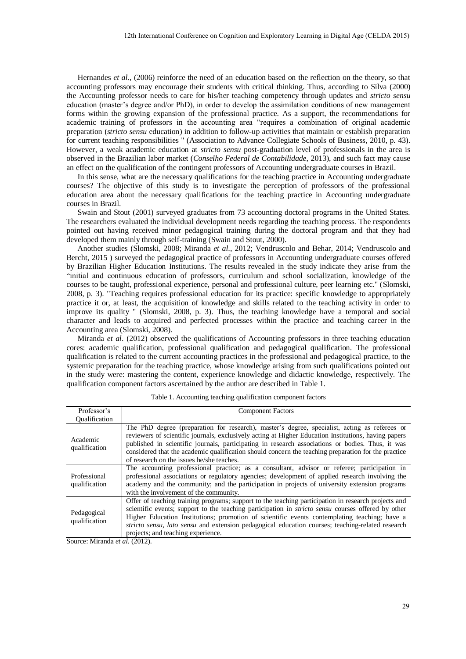Hernandes *et al*., (2006) reinforce the need of an education based on the reflection on the theory, so that accounting professors may encourage their students with critical thinking. Thus, according to Silva (2000) the Accounting professor needs to care for his/her teaching competency through updates and *stricto sensu* education (master's degree and/or PhD), in order to develop the assimilation conditions of new management forms within the growing expansion of the professional practice. As a support, the recommendations for academic training of professors in the accounting area "requires a combination of original academic preparation (*stricto sensu* education) in addition to follow-up activities that maintain or establish preparation for current teaching responsibilities " (Association to Advance Collegiate Schools of Business, 2010, p. 43). However, a weak academic education at *stricto sensu* post-graduation level of professionals in the area is observed in the Brazilian labor market (*Conselho Federal de Contabilidade*, 2013), and such fact may cause an effect on the qualification of the contingent professors of Accounting undergraduate courses in Brazil.

In this sense, what are the necessary qualifications for the teaching practice in Accounting undergraduate courses? The objective of this study is to investigate the perception of professors of the professional education area about the necessary qualifications for the teaching practice in Accounting undergraduate courses in Brazil.

Swain and Stout (2001) surveyed graduates from 73 accounting doctoral programs in the United States. The researchers evaluated the individual development needs regarding the teaching process. The respondents pointed out having received minor pedagogical training during the doctoral program and that they had developed them mainly through self-training (Swain and Stout, 2000).

Another studies (Slomski, 2008; Miranda *et al*., 2012; Vendruscolo and Behar, 2014; Vendruscolo and Bercht, 2015 ) surveyed the pedagogical practice of professors in Accounting undergraduate courses offered by Brazilian Higher Education Institutions. The results revealed in the study indicate they arise from the "initial and continuous education of professors, curriculum and school socialization, knowledge of the courses to be taught, professional experience, personal and professional culture, peer learning etc." (Slomski, 2008, p. 3). "Teaching requires professional education for its practice: specific knowledge to appropriately practice it or, at least, the acquisition of knowledge and skills related to the teaching activity in order to improve its quality " (Slomski, 2008, p. 3). Thus, the teaching knowledge have a temporal and social character and leads to acquired and perfected processes within the practice and teaching career in the Accounting area (Slomski, 2008).

Miranda *et al*. (2012) observed the qualifications of Accounting professors in three teaching education cores: academic qualification, professional qualification and pedagogical qualification. The professional qualification is related to the current accounting practices in the professional and pedagogical practice, to the systemic preparation for the teaching practice, whose knowledge arising from such qualifications pointed out in the study were: mastering the content, experience knowledge and didactic knowledge, respectively. The qualification component factors ascertained by the author are described in Table 1.

| Professor's                   | <b>Component Factors</b>                                                                                                                                                                                                                                                                                                                                                                                                                                      |
|-------------------------------|---------------------------------------------------------------------------------------------------------------------------------------------------------------------------------------------------------------------------------------------------------------------------------------------------------------------------------------------------------------------------------------------------------------------------------------------------------------|
| <b>Oualification</b>          |                                                                                                                                                                                                                                                                                                                                                                                                                                                               |
| Academic<br>qualification     | The PhD degree (preparation for research), master's degree, specialist, acting as referees or<br>reviewers of scientific journals, exclusively acting at Higher Education Institutions, having papers<br>published in scientific journals, participating in research associations or bodies. Thus, it was<br>considered that the academic qualification should concern the teaching preparation for the practice<br>of research on the issues he/she teaches. |
| Professional<br>qualification | The accounting professional practice; as a consultant, advisor or referee; participation in<br>professional associations or regulatory agencies; development of applied research involving the<br>academy and the community; and the participation in projects of university extension programs<br>with the involvement of the community.                                                                                                                     |
| Pedagogical<br>qualification  | Offer of teaching training programs; support to the teaching participation in research projects and<br>scientific events; support to the teaching participation in <i>stricto sensu</i> courses offered by other<br>Higher Education Institutions; promotion of scientific events contemplating teaching; have a<br>stricto sensu, lato sensu and extension pedagogical education courses; teaching-related research<br>projects; and teaching experience.    |

Table 1. Accounting teaching qualification component factors

Source: Miranda *et al*. (2012).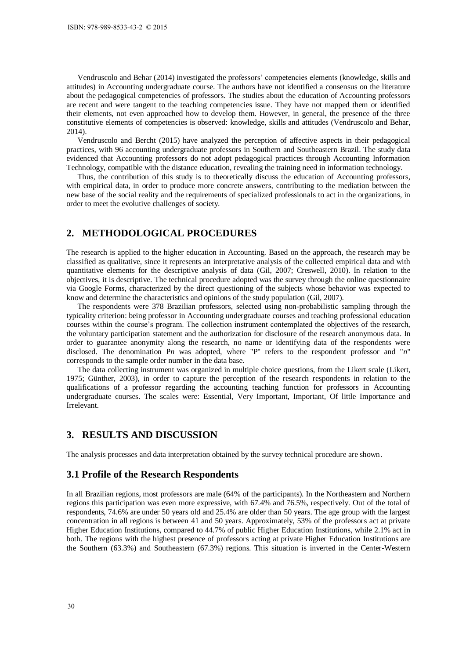Vendruscolo and Behar (2014) investigated the professors' competencies elements (knowledge, skills and attitudes) in Accounting undergraduate course. The authors have not identified a consensus on the literature about the pedagogical competencies of professors. The studies about the education of Accounting professors are recent and were tangent to the teaching competencies issue. They have not mapped them or identified their elements, not even approached how to develop them. However, in general, the presence of the three constitutive elements of competencies is observed: knowledge, skills and attitudes (Vendruscolo and Behar, 2014).

Vendruscolo and Bercht (2015) have analyzed the perception of affective aspects in their pedagogical practices, with 96 accounting undergraduate professors in Southern and Southeastern Brazil. The study data evidenced that Accounting professors do not adopt pedagogical practices through Accounting Information Technology, compatible with the distance education, revealing the training need in information technology.

Thus, the contribution of this study is to theoretically discuss the education of Accounting professors, with empirical data, in order to produce more concrete answers, contributing to the mediation between the new base of the social reality and the requirements of specialized professionals to act in the organizations, in order to meet the evolutive challenges of society.

## **2. METHODOLOGICAL PROCEDURES**

The research is applied to the higher education in Accounting. Based on the approach, the research may be classified as qualitative, since it represents an interpretative analysis of the collected empirical data and with quantitative elements for the descriptive analysis of data (Gil, 2007; Creswell, 2010). In relation to the objectives, it is descriptive. The technical procedure adopted was the survey through the online questionnaire via Google Forms, characterized by the direct questioning of the subjects whose behavior was expected to know and determine the characteristics and opinions of the study population (Gil, 2007).

The respondents were 378 Brazilian professors, selected using non-probabilistic sampling through the typicality criterion: being professor in Accounting undergraduate courses and teaching professional education courses within the course's program. The collection instrument contemplated the objectives of the research, the voluntary participation statement and the authorization for disclosure of the research anonymous data. In order to guarantee anonymity along the research, no name or identifying data of the respondents were disclosed. The denomination P*n* was adopted, where "P" refers to the respondent professor and "*n*" corresponds to the sample order number in the data base. ISBN: 978-989-8533-43-2 © 2015<br>
Useration: 978-989-8533-43-2 © 2015<br>
Vendruscolo and Behar (201<br>
Unititudes) in Accounting undergrape<br>
about the pedagogical competen<br>
are recent and were tangent to comprome their elements

The data collecting instrument was organized in multiple choice questions, from the Likert scale (Likert, 1975; Günther, 2003), in order to capture the perception of the research respondents in relation to the qualifications of a professor regarding the accounting teaching function for professors in Accounting undergraduate courses. The scales were: Essential, Very Important, Important, Of little Importance and Irrelevant.

## **3. RESULTS AND DISCUSSION**

The analysis processes and data interpretation obtained by the survey technical procedure are shown.

## **3.1 Profile of the Research Respondents**

In all Brazilian regions, most professors are male (64% of the participants). In the Northeastern and Northern regions this participation was even more expressive, with 67.4% and 76.5%, respectively. Out of the total of respondents, 74.6% are under 50 years old and 25.4% are older than 50 years. The age group with the largest concentration in all regions is between 41 and 50 years. Approximately, 53% of the professors act at private Higher Education Institutions, compared to 44.7% of public Higher Education Institutions, while 2.1% act in both. The regions with the highest presence of professors acting at private Higher Education Institutions are the Southern (63.3%) and Southeastern (67.3%) regions. This situation is inverted in the Center-Western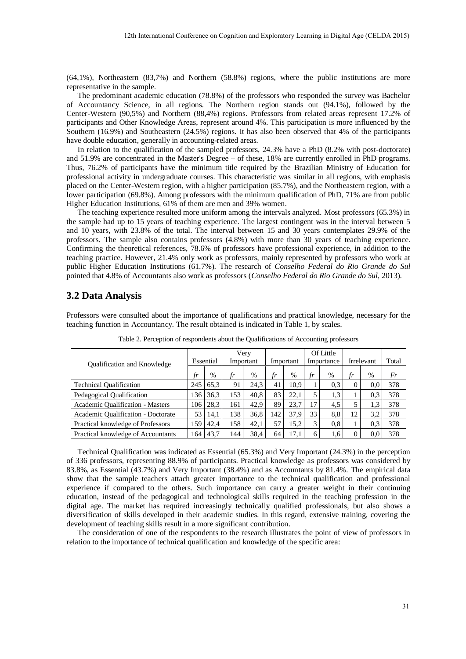(64,1%), Northeastern (83,7%) and Northern (58.8%) regions, where the public institutions are more representative in the sample.

The predominant academic education (78.8%) of the professors who responded the survey was Bachelor of Accountancy Science, in all regions. The Northern region stands out (94.1%), followed by the Center-Western (90,5%) and Northern (88,4%) regions. Professors from related areas represent 17.2% of participants and Other Knowledge Areas, represent around 4%. This participation is more influenced by the Southern (16.9%) and Southeastern (24.5%) regions. It has also been observed that 4% of the participants have double education, generally in accounting-related areas.

In relation to the qualification of the sampled professors, 24.3% have a PhD (8.2% with post-doctorate) and 51.9% are concentrated in the Master's Degree – of these, 18% are currently enrolled in PhD programs. Thus, 76.2% of participants have the minimum title required by the Brazilian Ministry of Education for professional activity in undergraduate courses. This characteristic was similar in all regions, with emphasis placed on the Center-Western region, with a higher participation (85.7%), and the Northeastern region, with a lower participation (69.8%). Among professors with the minimum qualification of PhD, 71% are from public Higher Education Institutions, 61% of them are men and 39% women.

The teaching experience resulted more uniform among the intervals analyzed. Most professors (65.3%) in the sample had up to 15 years of teaching experience. The largest contingent was in the interval between 5 and 10 years, with 23.8% of the total. The interval between 15 and 30 years contemplates 29.9% of the professors. The sample also contains professors (4.8%) with more than 30 years of teaching experience. Confirming the theoretical references, 78.6% of professors have professional experience, in addition to the teaching practice. However, 21.4% only work as professors, mainly represented by professors who work at public Higher Education Institutions (61.7%). The research of *Conselho Federal do Rio Grande do Sul* pointed that 4.8% of Accountants also work as professors (*Conselho Federal do Rio Grande do Sul*, 2013).

## **3.2 Data Analysis**

Professors were consulted about the importance of qualifications and practical knowledge, necessary for the teaching function in Accountancy. The result obtained is indicated in Table 1, by scales.

| <b>Oualification and Knowledge</b> | Essential |               | Verv<br>Important |      | Important |      | Of Little<br>Importance |      | Irrelevant |      | Total |
|------------------------------------|-----------|---------------|-------------------|------|-----------|------|-------------------------|------|------------|------|-------|
|                                    | tr        | $\frac{0}{0}$ | fr                | %    | fr        | $\%$ | fr                      | $\%$ | tr         | $\%$ | Fr    |
| <b>Technical Qualification</b>     | 245       | 65.3          | 91                | 24.3 | 41        | 10.9 |                         | 0.3  | $\Omega$   | 0.0  | 378   |
| Pedagogical Qualification          | 136       | 36.3          | 153               | 40.8 | 83        | 22.1 | 5                       | 1,3  |            | 0.3  | 378   |
| Academic Qualification - Masters   | 106       | 28.3          | 161               | 42.9 | 89        | 23.7 | 17                      | 4.5  |            | 1.3  | 378   |
| Academic Oualification - Doctorate | 53        | 14.1          | 138               | 36.8 | 142       | 37.9 | 33                      | 8.8  | 12         | 3,2  | 378   |
| Practical knowledge of Professors  | 159       | 42.4          | 158               | 42.1 | 57        | 15.2 | 3                       | 0.8  |            | 0.3  | 378   |
| Practical knowledge of Accountants | 164       | 43.7          | 144               | 38,4 | 64        | 17.1 | 6                       | 1,6  | 0          | 0.0  | 378   |

Table 2. Perception of respondents about the Qualifications of Accounting professors

Technical Qualification was indicated as Essential (65.3%) and Very Important (24.3%) in the perception of 336 professors, representing 88.9% of participants. Practical knowledge as professors was considered by 83.8%, as Essential (43.7%) and Very Important (38.4%) and as Accountants by 81.4%. The empirical data show that the sample teachers attach greater importance to the technical qualification and professional experience if compared to the others. Such importance can carry a greater weight in their continuing education, instead of the pedagogical and technological skills required in the teaching profession in the digital age. The market has required increasingly technically qualified professionals, but also shows a diversification of skills developed in their academic studies. In this regard, extensive training, covering the development of teaching skills result in a more significant contribution.

The consideration of one of the respondents to the research illustrates the point of view of professors in relation to the importance of technical qualification and knowledge of the specific area: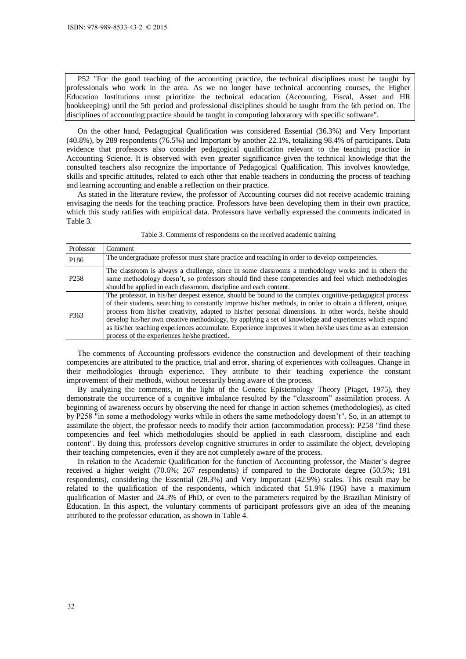|                   | ISBN: 978-989-8533-43-2 © 2015                                                                                                                                                                                                                                                                                                                                                                                                                                                                                                                                                                                                                                                                                                                                                                                                                                                                                                                                                                                                                                                                                                                                                                                                                                                                                                                                                                                                                                                                                                                                                                                                                                                                                                                                                                                                                                                                                                                                                                     |
|-------------------|----------------------------------------------------------------------------------------------------------------------------------------------------------------------------------------------------------------------------------------------------------------------------------------------------------------------------------------------------------------------------------------------------------------------------------------------------------------------------------------------------------------------------------------------------------------------------------------------------------------------------------------------------------------------------------------------------------------------------------------------------------------------------------------------------------------------------------------------------------------------------------------------------------------------------------------------------------------------------------------------------------------------------------------------------------------------------------------------------------------------------------------------------------------------------------------------------------------------------------------------------------------------------------------------------------------------------------------------------------------------------------------------------------------------------------------------------------------------------------------------------------------------------------------------------------------------------------------------------------------------------------------------------------------------------------------------------------------------------------------------------------------------------------------------------------------------------------------------------------------------------------------------------------------------------------------------------------------------------------------------------|
|                   |                                                                                                                                                                                                                                                                                                                                                                                                                                                                                                                                                                                                                                                                                                                                                                                                                                                                                                                                                                                                                                                                                                                                                                                                                                                                                                                                                                                                                                                                                                                                                                                                                                                                                                                                                                                                                                                                                                                                                                                                    |
|                   |                                                                                                                                                                                                                                                                                                                                                                                                                                                                                                                                                                                                                                                                                                                                                                                                                                                                                                                                                                                                                                                                                                                                                                                                                                                                                                                                                                                                                                                                                                                                                                                                                                                                                                                                                                                                                                                                                                                                                                                                    |
|                   | P52 "For the good teaching of the accounting practice, the technical disciplines must be taught by<br>professionals who work in the area. As we no longer have technical accounting courses, the Higher<br>Education Institutions must prioritize the technical education (Accounting, Fiscal, Asset and HR<br>bookkeeping) until the 5th period and professional disciplines should be taught from the 6th period on. The<br>disciplines of accounting practice should be taught in computing laboratory with specific software".                                                                                                                                                                                                                                                                                                                                                                                                                                                                                                                                                                                                                                                                                                                                                                                                                                                                                                                                                                                                                                                                                                                                                                                                                                                                                                                                                                                                                                                                 |
| Table 3.          | On the other hand, Pedagogical Qualification was considered Essential (36.3%) and Very Important<br>(40.8%), by 289 respondents (76.5%) and Important by another 22.1%, totalizing 98.4% of participants. Data<br>evidence that professors also consider pedagogical qualification relevant to the teaching practice in<br>Accounting Science. It is observed with even greater significance given the technical knowledge that the<br>consulted teachers also recognize the importance of Pedagogical Qualification. This involves knowledge,<br>skills and specific attitudes, related to each other that enable teachers in conducting the process of teaching<br>and learning accounting and enable a reflection on their practice.<br>As stated in the literature review, the professor of Accounting courses did not receive academic training<br>envisaging the needs for the teaching practice. Professors have been developing them in their own practice,<br>which this study ratifies with empirical data. Professors have verbally expressed the comments indicated in                                                                                                                                                                                                                                                                                                                                                                                                                                                                                                                                                                                                                                                                                                                                                                                                                                                                                                                 |
|                   | Table 3. Comments of respondents on the received academic training                                                                                                                                                                                                                                                                                                                                                                                                                                                                                                                                                                                                                                                                                                                                                                                                                                                                                                                                                                                                                                                                                                                                                                                                                                                                                                                                                                                                                                                                                                                                                                                                                                                                                                                                                                                                                                                                                                                                 |
| Professor<br>P186 | Comment<br>The undergraduate professor must share practice and teaching in order to develop competencies.                                                                                                                                                                                                                                                                                                                                                                                                                                                                                                                                                                                                                                                                                                                                                                                                                                                                                                                                                                                                                                                                                                                                                                                                                                                                                                                                                                                                                                                                                                                                                                                                                                                                                                                                                                                                                                                                                          |
| P <sub>258</sub>  | The classroom is always a challenge, since in some classrooms a methodology works and in others the<br>same methodology doesn't, so professors should find these competencies and feel which methodologies<br>should be applied in each classroom, discipline and each content.                                                                                                                                                                                                                                                                                                                                                                                                                                                                                                                                                                                                                                                                                                                                                                                                                                                                                                                                                                                                                                                                                                                                                                                                                                                                                                                                                                                                                                                                                                                                                                                                                                                                                                                    |
| P <sub>363</sub>  | The professor, in his/her deepest essence, should be bound to the complex cognitive-pedagogical process<br>of their students, searching to constantly improve his/her methods, in order to obtain a different, unique,<br>process from his/her creativity, adapted to his/her personal dimensions. In other words, he/she should<br>develop his/her own creative methodology, by applying a set of knowledge and experiences which expand<br>as his/her teaching experiences accumulate. Experience improves it when he/she uses time as an extension<br>process of the experiences he/she practiced.                                                                                                                                                                                                                                                                                                                                                                                                                                                                                                                                                                                                                                                                                                                                                                                                                                                                                                                                                                                                                                                                                                                                                                                                                                                                                                                                                                                              |
|                   | The comments of Accounting professors evidence the construction and development of their teaching<br>competencies are attributed to the practice, trial and error, sharing of experiences with colleagues. Change in<br>their methodologies through experience. They attribute to their teaching experience the constant<br>improvement of their methods, without necessarily being aware of the process.<br>By analyzing the comments, in the light of the Genetic Epistemology Theory (Piaget, 1975), they<br>demonstrate the occurrence of a cognitive imbalance resulted by the "classroom" assimilation process. A<br>beginning of awareness occurs by observing the need for change in action schemes (methodologies), as cited<br>by P258 "in some a methodology works while in others the same methodology doesn't". So, in an attempt to<br>assimilate the object, the professor needs to modify their action (accommodation process): P258 "find these<br>competencies and feel which methodologies should be applied in each classroom, discipline and each<br>content". By doing this, professors develop cognitive structures in order to assimilate the object, developing<br>their teaching competencies, even if they are not completely aware of the process.<br>In relation to the Academic Qualification for the function of Accounting professor, the Master's degree<br>received a higher weight (70.6%; 267 respondents) if compared to the Doctorate degree (50.5%; 191<br>respondents), considering the Essential (28.3%) and Very Important (42.9%) scales. This result may be<br>related to the qualification of the respondents, which indicated that 51.9% (196) have a maximum<br>qualification of Master and 24.3% of PhD, or even to the parameters required by the Brazilian Ministry of<br>Education. In this aspect, the voluntary comments of participant professors give an idea of the meaning<br>attributed to the professor education, as shown in Table 4. |
|                   |                                                                                                                                                                                                                                                                                                                                                                                                                                                                                                                                                                                                                                                                                                                                                                                                                                                                                                                                                                                                                                                                                                                                                                                                                                                                                                                                                                                                                                                                                                                                                                                                                                                                                                                                                                                                                                                                                                                                                                                                    |
| 32                |                                                                                                                                                                                                                                                                                                                                                                                                                                                                                                                                                                                                                                                                                                                                                                                                                                                                                                                                                                                                                                                                                                                                                                                                                                                                                                                                                                                                                                                                                                                                                                                                                                                                                                                                                                                                                                                                                                                                                                                                    |

Table 3. Comments of respondents on the received academic training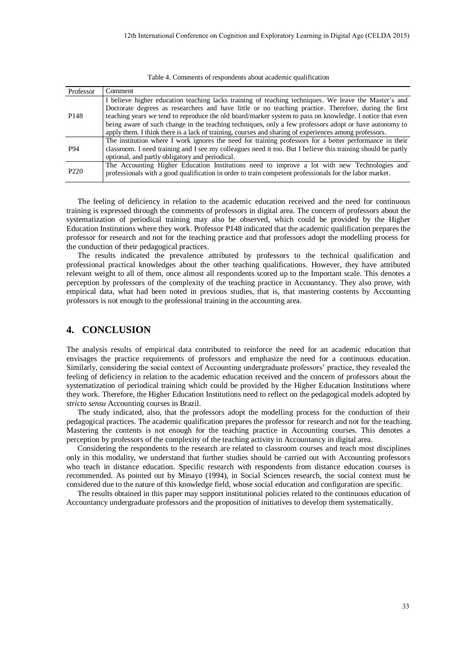|  |  | Table 4. Comments of respondents about academic qualification |
|--|--|---------------------------------------------------------------|
|--|--|---------------------------------------------------------------|

| Professor        | Comment                                                                                                      |
|------------------|--------------------------------------------------------------------------------------------------------------|
|                  | I believe higher education teaching lacks training of teaching techniques. We leave the Master's and         |
|                  | Doctorate degrees as researchers and have little or no teaching practice. Therefore, during the first        |
| P <sub>148</sub> | teaching years we tend to reproduce the old board/marker system to pass on knowledge. I notice that even     |
|                  | being aware of such change in the teaching techniques, only a few professors adopt or have autonomy to       |
|                  | apply them. I think there is a lack of training, courses and sharing of experiences among professors.        |
|                  | The institution where I work ignores the need for training professors for a better performance in their      |
| P94              | classroom. I need training and I see my colleagues need it too. But I believe this training should be partly |
|                  | optional, and partly obligatory and periodical.                                                              |
|                  | The Accounting Higher Education Institutions need to improve a lot with new Technologies and                 |
| P <sub>220</sub> | professionals with a good qualification in order to train competent professionals for the labor market.      |

The feeling of deficiency in relation to the academic education received and the need for continuous training is expressed through the comments of professors in digital area. The concern of professors about the systematization of periodical training may also be observed, which could be provided by the Higher Education Institutions where they work. Professor P148 indicated that the academic qualification prepares the professor for research and not for the teaching practice and that professors adopt the modelling process for the conduction of their pedagogical practices.

The results indicated the prevalence attributed by professors to the technical qualification and professional practical knowledges about the other teaching qualifications. However, they have attributed relevant weight to all of them, once almost all respondents scored up to the Important scale. This denotes a perception by professors of the complexity of the teaching practice in Accountancy. They also prove, with empirical data, what had been noted in previous studies, that is, that mastering contents by Accounting professors is not enough to the professional training in the accounting area.

# **4. CONCLUSION**

The analysis results of empirical data contributed to reinforce the need for an academic education that envisages the practice requirements of professors and emphasize the need for a continuous education. Similarly, considering the social context of Accounting undergraduate professors' practice, they revealed the feeling of deficiency in relation to the academic education received and the concern of professors about the systematization of periodical training which could be provided by the Higher Education Institutions where they work. Therefore, the Higher Education Institutions need to reflect on the pedagogical models adopted by *stricto sensu* Accounting courses in Brazil.

The study indicated, also, that the professors adopt the modelling process for the conduction of their pedagogical practices. The academic qualification prepares the professor for research and not for the teaching. Mastering the contents is not enough for the teaching practice in Accounting courses. This denotes a perception by professors of the complexity of the teaching activity in Accountancy in digital area.

Considering the respondents to the research are related to classroom courses and teach most disciplines only in this modality, we understand that further studies should be carried out with Accounting professors who teach in distance education. Specific research with respondents from distance education courses is recommended. As pointed out by Minayo (1994), in Social Sciences research, the social context must be considered due to the nature of this knowledge field, whose social education and configuration are specific.

The results obtained in this paper may support institutional policies related to the continuous education of Accountancy undergraduate professors and the proposition of initiatives to develop them systematically.